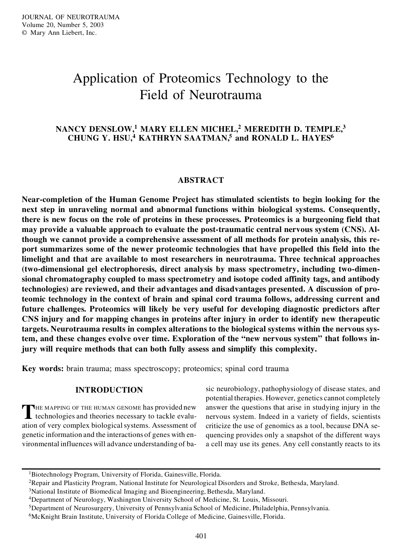# Application of Proteomics Technology to the Field of Neurotrauma

## **NANCY DENSLOW,<sup>1</sup> MARY ELLEN MICHEL,<sup>2</sup> MEREDITH D. TEMPLE,<sup>3</sup> CHUNG Y. HSU,<sup>4</sup> KATHRYN SAATMAN,<sup>5</sup> and RONALD L. HAYES<sup>6</sup>**

### **ABSTRACT**

**Near-completion of the Human Genome Project has stimulated scientists to begin looking for the next step in unraveling normal and abnormal functions within biological systems. Consequently, there is new focus on the role of proteins in these processes. Proteomics is a burgeoning field that may provide a valuable approach to evaluate the post-traumatic central nervous system (CNS). Although we cannot provide a comprehensive assessment of all methods for protein analysis, this report summarizes some of the newer proteomic technologies that have propelled this field into the limelight and that are available to most researchers in neurotrauma. Three technical approaches (two-dimensional gel electrophoresis, direct analysis by mass spectrometry, including two-dimensional chromatography coupled to mass spectrometry and isotope coded affinity tags, and antibody technologies) are reviewed, and their advantages and disadvantages presented. A discussion of proteomic technology in the context of brain and spinal cord trauma follows, addressing current and future challenges. Proteomics will likely be very useful for developing diagnostic predictors after CNS injury and for mapping changes in proteins after injury in order to identify new therapeutic targets. Neurotrauma results in complex alterations to the biological systems within the nervous system, and these changes evolve over time. Exploration of the "new nervous system" that follows injury will require methods that can both fully assess and simplify this complexity.**

**Key words:** brain trauma; mass spectroscopy; proteomics; spinal cord trauma

## **INTRODUCTION**

THE MAPPING OF THE HUMAN GENOME has provided new technologies and theories necessary to tackle evalu-THE MAPPING OF THE HUMAN GENOME has provided new ation of very complex biological systems. Assessment of genetic information and the interactions of genes with environmental influences will advance understanding of basic neurobiology, pathophysiology of disease states, and potential therapies. However, genetics cannot completely answer the questions that arise in studying injury in the nervous system. Indeed in a variety of fields, scientists criticize the use of genomics as a tool, because DNA sequencing provides only a snapshot of the different ways a cell may use its genes. Any cell constantly reacts to its

<sup>&</sup>lt;sup>1</sup>Biotechnology Program, University of Florida, Gainesville, Florida.

<sup>2</sup>Repair and Plasticity Program, National Institute for Neurological Disorders and Stroke, Bethesda, Maryland.

<sup>3</sup>National Institute of Biomedical Imaging and Bioengineering, Bethesda, Maryland.

<sup>4</sup>Department of Neurology, Washington University School of Medicine, St. Louis, Missouri.

<sup>5</sup>Department of Neurosurgery, University of Pennsylvania School of Medicine, Philadelphia, Pennsylvania.

<sup>6</sup>McKnight Brain Institute, University of Florida College of Medicine, Gainesville, Florida.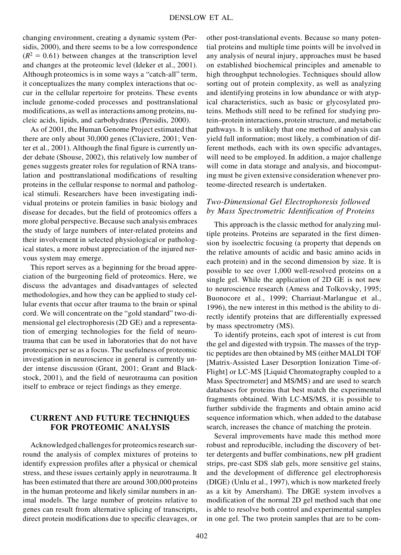changing environment, creating a dynamic system (Persidis, 2000), and there seems to be a low correspondence  $(R<sup>2</sup> = 0.61)$  between changes at the transcription level and changes at the proteomic level (Ideker et al., 2001). Although proteomics is in some ways a "catch-all" term, it conceptualizes the many complex interactions that occur in the cellular repertoire for proteins. These events include genome-coded processes and posttranslational modifications, as well as interactions among proteins, nucleic acids, lipids, and carbohydrates (Persidis, 2000).

As of 2001, the Human Genome Project estimated that there are only about 30,000 genes (Claviere, 2001; Venter et al., 2001). Although the final figure is currently under debate (Shouse, 2002), this relatively low number of genes suggests greater roles for regulation of RNA translation and posttranslational modifications of resulting proteins in the cellular response to normal and pathological stimuli. Researchers have been investigating individual proteins or protein families in basic biology and disease for decades, but the field of proteomics offers a more global perspective. Because such analysis embraces the study of large numbers of inter-related proteins and their involvement in selected physiological or pathological states, a more robust appreciation of the injured nervous system may emerge.

This report serves as a beginning for the broad appreciation of the burgeoning field of proteomics. Here, we discuss the advantages and disadvantages of selected methodologies, and how they can be applied to study cellular events that occur after trauma to the brain or spinal cord. We will concentrate on the "gold standard" two-dimensional gel electrophoresis (2D GE) and a representation of emerging technologies for the field of neurotrauma that can be used in laboratories that do not have proteomics per se as a focus. The usefulness of proteomic investigation in neuroscience in general is currently under intense discussion (Grant, 2001; Grant and Blackstock, 2001), and the field of neurotrauma can position itself to embrace or reject findings as they emerge.

## **CURRENT AND FUTURE TECHNIQUES FOR PROTEOMIC ANALYSIS**

Acknowledged challenges for proteomics research surround the analysis of complex mixtures of proteins to identify expression profiles after a physical or chemical stress, and these issues certainly apply in neurotrauma. It has been estimated that there are around 300,000 proteins in the human proteome and likely similar numbers in animal models. The large number of proteins relative to genes can result from alternative splicing of transcripts, direct protein modifications due to specific cleavages, or

other post-translational events. Because so many potential proteins and multiple time points will be involved in any analysis of neural injury, approaches must be based on established biochemical principles and amenable to high throughput technologies. Techniques should allow sorting out of protein complexity, as well as analyzing and identifying proteins in low abundance or with atypical characteristics, such as basic or glycosylated proteins. Methods still need to be refined for studying protein–protein interactions, protein structure, and metabolic pathways. It is unlikely that one method of analysis can yield full information; most likely, a combination of different methods, each with its own specific advantages, will need to be employed. In addition, a major challenge will come in data storage and analysis, and biocomputing must be given extensive consideration whenever proteome-directed research is undertaken.

## *Two-Dimensional Gel Electrophoresis followed by Mass Spectrometric Identification of Proteins*

This approach is the classic method for analyzing multiple proteins. Proteins are separated in the first dimension by isoelectric focusing (a property that depends on the relative amounts of acidic and basic amino acids in each protein) and in the second dimension by size. It is possible to see over 1,000 well-resolved proteins on a single gel. While the application of 2D GE is not new to neuroscience research (Amess and Tolkovsky, 1995; Buonocore et al., 1999; Charriaut-Marlangue et al., 1996), the new interest in this method is the ability to directly identify proteins that are differentially expressed by mass spectrometry (MS).

To identify proteins, each spot of interest is cut from the gel and digested with trypsin. The masses of the tryptic peptides are then obtained by MS (either MALDI TOF [Matrix-Assisted Laser Desorption Ionization Time-of-Flight] or LC-MS [Liquid Chromatography coupled to a Mass Spectrometer] and MS/MS) and are used to search databases for proteins that best match the experimental fragments obtained. With LC-MS/MS, it is possible to further subdivide the fragments and obtain amino acid sequence information which, when added to the database search, increases the chance of matching the protein.

Several improvements have made this method more robust and reproducible, including the discovery of better detergents and buffer combinations, new pH gradient strips, pre-cast SDS slab gels, more sensitive gel stains, and the development of difference gel electrophoresis (DIGE) (Unlu et al., 1997), which is now marketed freely as a kit by Amersham). The DIGE system involves a modification of the normal 2D gel method such that one is able to resolve both control and experimental samples in one gel. The two protein samples that are to be com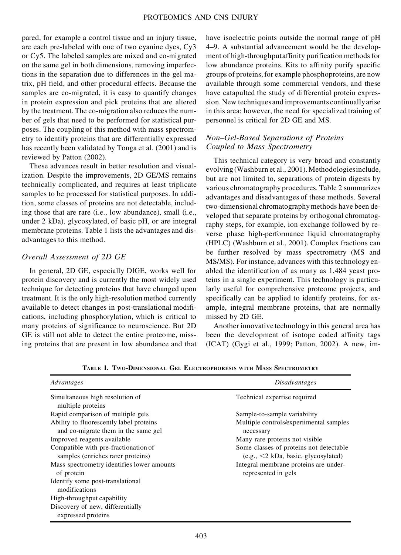pared, for example a control tissue and an injury tissue, are each pre-labeled with one of two cyanine dyes, Cy3 or Cy5. The labeled samples are mixed and co-migrated on the same gel in both dimensions, removing imperfections in the separation due to differences in the gel matrix, pH field, and other procedural effects. Because the samples are co-migrated, it is easy to quantify changes in protein expression and pick proteins that are altered by the treatment. The co-migration also reduces the number of gels that need to be performed for statistical purposes. The coupling of this method with mass spectrometry to identify proteins that are differentially expressed has recently been validated by Tonga et al. (2001) and is reviewed by Patton (2002).

These advances result in better resolution and visualization. Despite the improvements, 2D GE/MS remains technically complicated, and requires at least triplicate samples to be processed for statistical purposes. In addition, some classes of proteins are not detectable, including those that are rare (i.e., low abundance), small (i.e., under 2 kDa), glycosylated, of basic pH, or are integral membrane proteins. Table 1 lists the advantages and disadvantages to this method.

#### *Overall Assessment of 2D GE*

In general, 2D GE, especially DIGE, works well for protein discovery and is currently the most widely used technique for detecting proteins that have changed upon treatment. It is the only high-resolution method currently available to detect changes in post-translational modifications, including phosphorylation, which is critical to many proteins of significance to neuroscience. But 2D GE is still not able to detect the entire proteome, missing proteins that are present in low abundance and that have isoelectric points outside the normal range of pH 4–9. A substantial advancement would be the development of high-throughput affinity purification methods for low abundance proteins. Kits to affinity purify specific groups of proteins, for example phosphoproteins, are now available through some commercial vendors, and these have catapulted the study of differential protein expression. New techniques and improvements continually arise in this area; however, the need for specialized training of personnel is critical for 2D GE and MS.

## *Non–Gel-Based Separations of Proteins Coupled to Mass Spectrometry*

This technical category is very broad and constantly evolving (Washburn et al., 2001). Methodologies include, but are not limited to, separations of protein digests by various chromatography procedures. Table 2 summarizes advantages and disadvantages of these methods. Several two-dimensional chromatography methods have been developed that separate proteins by orthogonal chromatography steps, for example, ion exchange followed by reverse phase high-performance liquid chromatography (HPLC) (Washburn et al., 2001). Complex fractions can be further resolved by mass spectrometry (MS and MS/MS). For instance, advances with this technology enabled the identification of as many as 1,484 yeast proteins in a single experiment. This technology is particularly useful for comprehensive proteome projects, and specifically can be applied to identify proteins, for example, integral membrane proteins, that are normally missed by 2D GE.

Another innovative technology in this general area has been the development of isotope coded affinity tags (ICAT) (Gygi et al., 1999; Patton, 2002). A new, im-

| Advantages                                                                     | <i>Disadvantages</i>                                                            |
|--------------------------------------------------------------------------------|---------------------------------------------------------------------------------|
| Simultaneous high resolution of<br>multiple proteins                           | Technical expertise required                                                    |
| Rapid comparison of multiple gels                                              | Sample-to-sample variability                                                    |
| Ability to fluorescently label proteins<br>and co-migrate them in the same gel | Multiple controls/experiimental samples<br>necessary                            |
| Improved reagents available                                                    | Many rare proteins not visible.                                                 |
| Compatible with pre-fractionation of<br>samples (enriches rarer proteins)      | Some classes of proteins not detectable<br>(e.g., < 2 kDa, basic, glycosylated) |
| Mass spectrometry identifies lower amounts<br>of protein                       | Integral membrane proteins are under-<br>represented in gels                    |
| Identify some post-translational<br>modifications                              |                                                                                 |
| High-throughput capability                                                     |                                                                                 |
| Discovery of new, differentially<br>expressed proteins                         |                                                                                 |

**TABLE 1. TWO-DIMENSIONAL GEL ELECTROPHORESIS WITH MASS SPECTROMETRY**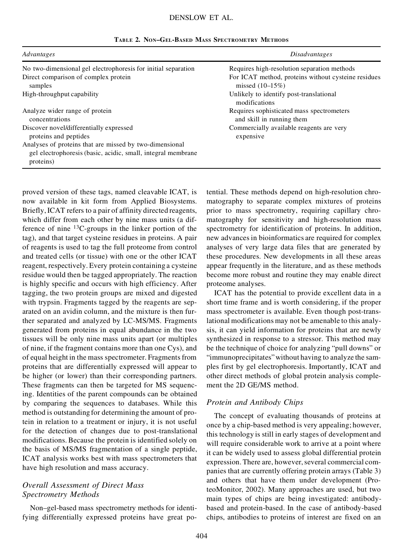#### DENSLOW ET AL.

| Advantages                                                                                                                           | <i>Disadvantages</i>                                                      |
|--------------------------------------------------------------------------------------------------------------------------------------|---------------------------------------------------------------------------|
| No two-dimensional gel electrophoresis for initial separation                                                                        | Requires high-resolution separation methods                               |
| Direct comparison of complex protein<br>samples                                                                                      | For ICAT method, proteins without cysteine residues<br>missed $(10-15\%)$ |
| High-throughput capability                                                                                                           | Unlikely to identify post-translational<br>modifications                  |
| Analyze wider range of protein<br>concentrations                                                                                     | Requires sophisticated mass spectrometers<br>and skill in running them    |
| Discover novel/differentially expressed<br>proteins and peptides                                                                     | Commercially available reagents are very<br>expensive                     |
| Analyses of proteins that are missed by two-dimensional<br>gel electrophoresis (basic, acidic, small, integral membrane<br>proteins) |                                                                           |

#### **TABLE 2. NON–GEL-BASED MASS SPECTROMETRY METHODS**

proved version of these tags, named cleavable ICAT, is now available in kit form from Applied Biosystems. Briefly, ICAT refers to a pair of affinity directed reagents, which differ from each other by nine mass units (a difference of nine 13C-groups in the linker portion of the tag), and that target cysteine residues in proteins. A pair of reagents is used to tag the full proteome from control and treated cells (or tissue) with one or the other ICAT reagent, respectively. Every protein containing a cysteine residue would then be tagged appropriately. The reaction is highly specific and occurs with high efficiency. After tagging, the two protein groups are mixed and digested with trypsin. Fragments tagged by the reagents are separated on an avidin column, and the mixture is then further separated and analyzed by LC-MS/MS. Fragments generated from proteins in equal abundance in the two tissues will be only nine mass units apart (or multiples of nine, if the fragment contains more than one Cys), and of equal height in the mass spectrometer. Fragments from proteins that are differentially expressed will appear to be higher (or lower) than their corresponding partners. These fragments can then be targeted for MS sequencing. Identities of the parent compounds can be obtained by comparing the sequences to databases. While this method is outstanding for determining the amount of protein in relation to a treatment or injury, it is not useful for the detection of changes due to post-translational modifications. Because the protein is identified solely on the basis of MS/MS fragmentation of a single peptide, ICAT analysis works best with mass spectrometers that have high resolution and mass accuracy.

## *Overall Assessment of Direct Mass Spectrometry Methods*

Non–gel-based mass spectrometry methods for identifying differentially expressed proteins have great potential. These methods depend on high-resolution chromatography to separate complex mixtures of proteins prior to mass spectrometry, requiring capillary chromatography for sensitivity and high-resolution mass spectrometry for identification of proteins. In addition, new advances in bioinformatics are required for complex analyses of very large data files that are generated by these procedures. New developments in all these areas appear frequently in the literature, and as these methods become more robust and routine they may enable direct proteome analyses.

ICAT has the potential to provide excellent data in a short time frame and is worth considering, if the proper mass spectrometer is available. Even though post-translational modifications may not be amenable to this analysis, it can yield information for proteins that are newly synthesized in response to a stressor. This method may be the technique of choice for analyzing "pull downs" or "immunoprecipitates"without having to analyze the samples first by gel electrophoresis. Importantly, ICAT and other direct methods of global protein analysis complement the 2D GE/MS method.

#### *Protein and Antibody Chips*

The concept of evaluating thousands of proteins at once by a chip-based method is very appealing; however, this technology is still in early stages of development and will require considerable work to arrive at a point where it can be widely used to assess global differential protein expression. There are, however, several commercial companies that are currently offering protein arrays (Table 3) and others that have them under development (ProteoMonitor, 2002). Many approaches are used, but two main types of chips are being investigated: antibodybased and protein-based. In the case of antibody-based chips, antibodies to proteins of interest are fixed on an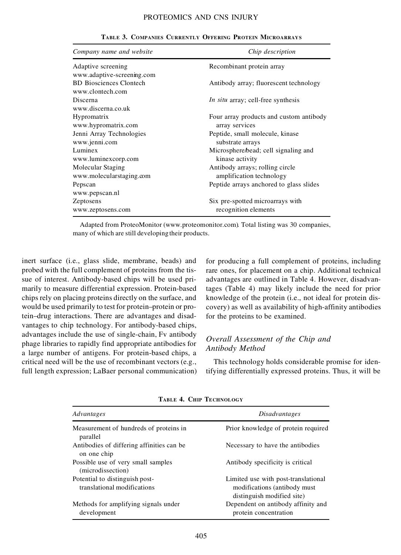#### PROTEOMICS AND CNS INJURY

| Company name and website                           | Chip description                          |
|----------------------------------------------------|-------------------------------------------|
| Adaptive screening<br>www.adaptive-screening.com   | Recombinant protein array                 |
| <b>BD</b> Biosciences Clontech<br>www.clontech.com | Antibody array; fluorescent technology    |
| Discerna<br>www.discerna.co.uk                     | <i>In situ</i> array; cell-free synthesis |
| <b>Hypromatrix</b>                                 | Four array products and custom antibody   |
| www.hypromatrix.com                                | array services                            |
| Jenni Array Technologies                           | Peptide, small molecule, kinase           |
| www.jenni.com                                      | substrate arrays                          |
| Luminex                                            | Microsphere/bead; cell signaling and      |
| www.luminexcorp.com                                | kinase activity                           |
| Molecular Staging                                  | Antibody arrays; rolling circle           |
| www.molecularstaging.com                           | amplification technology                  |
| Pepscan<br>www.pepscan.nl                          | Peptide arrays anchored to glass slides   |
| <b>Zeptosens</b>                                   | Six pre-spotted microarrays with          |
| www.zeptosens.com                                  | recognition elements                      |

#### **TABLE 3. COMPANIES CURRENTLY OFFERING PROTEIN MICROARRAYS**

Adapted from ProteoMonitor (www.proteomonitor.com). Total listing was 30 companies, many of which are still developing their products.

inert surface (i.e., glass slide, membrane, beads) and probed with the full complement of proteins from the tissue of interest. Antibody-based chips will be used primarily to measure differential expression. Protein-based chips rely on placing proteins directly on the surface, and would be used primarily to test for protein–protein or protein–drug interactions. There are advantages and disadvantages to chip technology. For antibody-based chips, advantages include the use of single-chain, Fv antibody phage libraries to rapidly find appropriate antibodies for a large number of antigens. For protein-based chips, a critical need will be the use of recombinant vectors (e.g., full length expression; LaBaer personal communication) for producing a full complement of proteins, including rare ones, for placement on a chip. Additional technical advantages are outlined in Table 4. However, disadvantages (Table 4) may likely include the need for prior knowledge of the protein (i.e., not ideal for protein discovery) as well as availability of high-affinity antibodies for the proteins to be examined.

## *Overall Assessment of the Chip and Antibody Method*

This technology holds considerable promise for identifying differentially expressed proteins. Thus, it will be

| Advantages                                                    | <i>Disadvantages</i>                                                                              |
|---------------------------------------------------------------|---------------------------------------------------------------------------------------------------|
| Measurement of hundreds of proteins in<br>parallel            | Prior knowledge of protein required                                                               |
| Antibodies of differing affinities can be<br>on one chip      | Necessary to have the antibodies                                                                  |
| Possible use of very small samples<br>(microdissection)       | Antibody specificity is critical                                                                  |
| Potential to distinguish post-<br>translational modifications | Limited use with post-translational<br>modifications (antibody must<br>distinguish modified site) |
| Methods for amplifying signals under<br>development           | Dependent on antibody affinity and<br>protein concentration                                       |

#### **TABLE 4. CHIP TECHNOLOGY**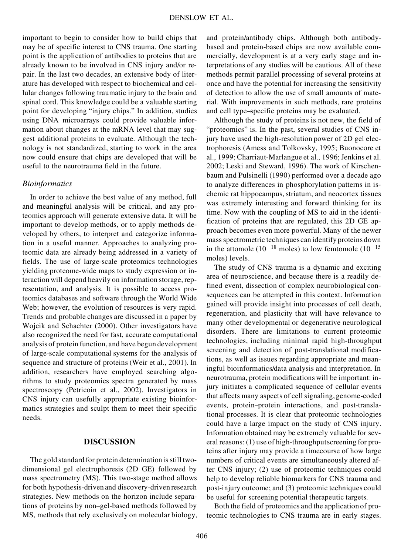important to begin to consider how to build chips that may be of specific interest to CNS trauma. One starting point is the application of antibodies to proteins that are already known to be involved in CNS injury and/or repair. In the last two decades, an extensive body of literature has developed with respect to biochemical and cellular changes following traumatic injury to the brain and spinal cord. This knowledge could be a valuable starting point for developing "injury chips." In addition, studies using DNA microarrays could provide valuable information about changes at the mRNA level that may suggest additional proteins to evaluate. Although the technology is not standardized, starting to work in the area now could ensure that chips are developed that will be useful to the neurotrauma field in the future.

#### *Bioinformatics*

In order to achieve the best value of any method, full and meaningful analysis will be critical, and any proteomics approach will generate extensive data. It will be important to develop methods, or to apply methods developed by others, to interpret and categorize information in a useful manner. Approaches to analyzing proteomic data are already being addressed in a variety of fields. The use of large-scale proteomics technologies yielding proteome-wide maps to study expression or interaction will depend heavily on information storage, representation, and analysis. It is possible to access proteomics databases and software through the World Wide Web; however, the evolution of resources is very rapid. Trends and probable changes are discussed in a paper by Wojcik and Schachter (2000). Other investigators have also recognized the need for fast, accurate computational analysis of protein function, and have begun development of large-scale computational systems for the analysis of sequence and structure of proteins (Weir et al., 2001). In addition, researchers have employed searching algorithms to study proteomics spectra generated by mass spectroscopy (Petricoin et al., 2002). Investigators in CNS injury can usefully appropriate existing bioinformatics strategies and sculpt them to meet their specific needs.

## **DISCUSSION**

The gold standard for protein determination is still twodimensional gel electrophoresis (2D GE) followed by mass spectrometry (MS). This two-stage method allows for both hypothesis-driven and discovery-driven research strategies. New methods on the horizon include separations of proteins by non–gel-based methods followed by MS, methods that rely exclusively on molecular biology, and protein/antibody chips. Although both antibodybased and protein-based chips are now available commercially, development is at a very early stage and interpretations of any studies will be cautious. All of these methods permit parallel processing of several proteins at once and have the potential for increasing the sensitivity of detection to allow the use of small amounts of material. With improvements in such methods, rare proteins and cell type–specific proteins may be evaluated.

Although the study of proteins is not new, the field of "proteomics" is. In the past, several studies of CNS injury have used the high-resolution power of 2D gel electrophoresis (Amess and Tolkovsky, 1995; Buonocore et al., 1999; Charriaut-Marlangue et al., 1996; Jenkins et al. 2002; Leski and Steward, 1996). The work of Kirschenbaum and Pulsinelli (1990) performed over a decade ago to analyze differences in phosphorylation patterns in ischemic rat hippocampus, striatum, and neocortex tissues was extremely interesting and forward thinking for its time. Now with the coupling of MS to aid in the identification of proteins that are regulated, this 2D GE approach becomes even more powerful. Many of the newer mass spectrometric techniques can identify proteins down in the attomole  $(10^{-18} \text{ moles})$  to low femtomole  $(10^{-15} \text{ moles})$ moles) levels.

The study of CNS trauma is a dynamic and exciting area of neuroscience, and because there is a readily defined event, dissection of complex neurobiological consequences can be attempted in this context. Information gained will provide insight into processes of cell death, regeneration, and plasticity that will have relevance to many other developmental or degenerative neurological disorders. There are limitations to current proteomic technologies, including minimal rapid high-throughput screening and detection of post-translational modifications, as well as issues regarding appropriate and meaningful bioinformatics/data analysis and interpretation. In neurotrauma, protein modifications will be important: injury initiates a complicated sequence of cellular events that affects many aspects of cell signaling, genome-coded events, protein–protein interactions, and post-translational processes. It is clear that proteomic technologies could have a large impact on the study of CNS injury. Information obtained may be extremely valuable for several reasons: (1) use of high-throughput screening for proteins after injury may provide a timecourse of how large numbers of critical events are simultaneously altered after CNS injury; (2) use of proteomic techniques could help to develop reliable biomarkers for CNS trauma and post-injury outcome; and (3) proteomic techniques could be useful for screening potential therapeutic targets.

Both the field of proteomics and the application of proteomic technologies to CNS trauma are in early stages.